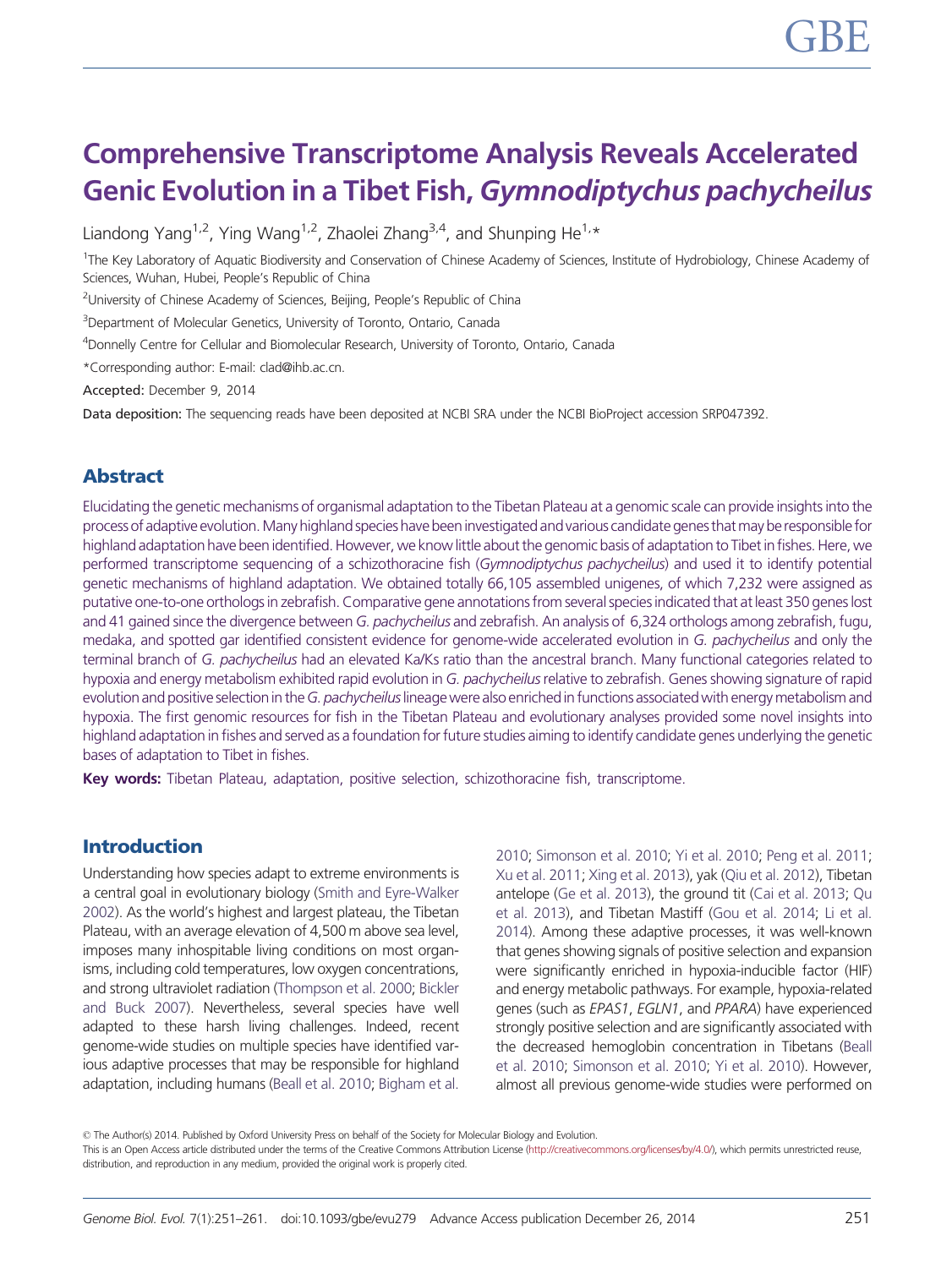# Comprehensive Transcriptome Analysis Reveals Accelerated Genic Evolution in a Tibet Fish, Gymnodiptychus pachycheilus

Liandong Yang<sup>1,2</sup>, Ying Wang<sup>1,2</sup>, Zhaolei Zhang<sup>3,4</sup>, and Shunping He<sup>1,\*</sup>

<sup>1</sup>The Key Laboratory of Aquatic Biodiversity and Conservation of Chinese Academy of Sciences, Institute of Hydrobiology, Chinese Academy of Sciences, Wuhan, Hubei, People's Republic of China

<sup>2</sup>University of Chinese Academy of Sciences, Beijing, People's Republic of China

<sup>3</sup>Department of Molecular Genetics, University of Toronto, Ontario, Canada

4 Donnelly Centre for Cellular and Biomolecular Research, University of Toronto, Ontario, Canada

\*Corresponding author: E-mail: clad@ihb.ac.cn.

Accepted: December 9, 2014

Data deposition: The sequencing reads have been deposited at NCBI SRA under the NCBI BioProject accession SRP047392.

## Abstract

Elucidating the genetic mechanisms of organismal adaptation to the Tibetan Plateau at a genomic scale can provide insights into the process of adaptive evolution. Many highland species have been investigated and various candidate genes that may be responsible for highland adaptation have been identified. However, we know little about the genomic basis of adaptation to Tibet in fishes. Here, we performed transcriptome sequencing of a schizothoracine fish (Gymnodiptychus pachycheilus) and used it to identify potential genetic mechanisms of highland adaptation. We obtained totally 66,105 assembled unigenes, of which 7,232 were assigned as putative one-to-one orthologs in zebrafish. Comparative gene annotations from several species indicated that at least 350 genes lost and 41 gained since the divergence between G. pachycheilus and zebrafish. An analysis of 6,324 orthologs among zebrafish, fugu, medaka, and spotted gar identified consistent evidence for genome-wide accelerated evolution in G. pachycheilus and only the terminal branch of G. pachycheilus had an elevated Ka/Ks ratio than the ancestral branch. Many functional categories related to hypoxia and energy metabolism exhibited rapid evolution in G. pachycheilus relative to zebrafish. Genes showing signature of rapid evolution and positive selection in the G. pachycheilus lineage were also enriched in functions associated with energy metabolism and hypoxia. The first genomic resources for fish in the Tibetan Plateau and evolutionary analyses provided some novel insights into highland adaptation in fishes and served as a foundation for future studies aiming to identify candidate genes underlying the genetic bases of adaptation to Tibet in fishes.

Key words: Tibetan Plateau, adaptation, positive selection, schizothoracine fish, transcriptome.

## Introduction

Understanding how species adapt to extreme environments is a central goal in evolutionary biology [\(Smith and Eyre-Walker](#page-10-0) [2002\)](#page-10-0). As the world's highest and largest plateau, the Tibetan Plateau, with an average elevation of 4,500 m above sea level, imposes many inhospitable living conditions on most organisms, including cold temperatures, low oxygen concentrations, and strong ultraviolet radiation ([Thompson et al. 2000;](#page-10-0) [Bickler](#page-9-0) [and Buck 2007\)](#page-9-0). Nevertheless, several species have well adapted to these harsh living challenges. Indeed, recent genome-wide studies on multiple species have identified various adaptive processes that may be responsible for highland adaptation, including humans [\(Beall et al. 2010](#page-9-0); [Bigham et al.](#page-9-0)

[2010](#page-9-0); [Simonson et al. 2010;](#page-10-0) [Yi et al. 2010;](#page-10-0) [Peng et al. 2011](#page-9-0); [Xu et al. 2011;](#page-10-0) [Xing et al. 2013\)](#page-10-0), yak ([Qiu et al. 2012](#page-10-0)), Tibetan antelope [\(Ge et al. 2013\)](#page-9-0), the ground tit ([Cai et al. 2013;](#page-9-0) [Qu](#page-10-0) [et al. 2013](#page-10-0)), and Tibetan Mastiff [\(Gou et al. 2014](#page-9-0); [Li et al.](#page-9-0) [2014](#page-9-0)). Among these adaptive processes, it was well-known that genes showing signals of positive selection and expansion were significantly enriched in hypoxia-inducible factor (HIF) and energy metabolic pathways. For example, hypoxia-related genes (such as EPAS1, EGLN1, and PPARA) have experienced strongly positive selection and are significantly associated with the decreased hemoglobin concentration in Tibetans [\(Beall](#page-9-0) [et al. 2010](#page-9-0); [Simonson et al. 2010](#page-10-0); [Yi et al. 2010\)](#page-10-0). However, almost all previous genome-wide studies were performed on

This is an Open Access article distributed under the terms of the Creative Commons Attribution License [\(http://creativecommons.org/licenses/by/4.0/\)](http://creativecommons.org/licenses/by/4.0/), which permits unrestricted reuse, distribution, and reproduction in any medium, provided the original work is properly cited.

<sup>©</sup> The Author(s) 2014. Published by Oxford University Press on behalf of the Society for Molecular Biology and Evolution.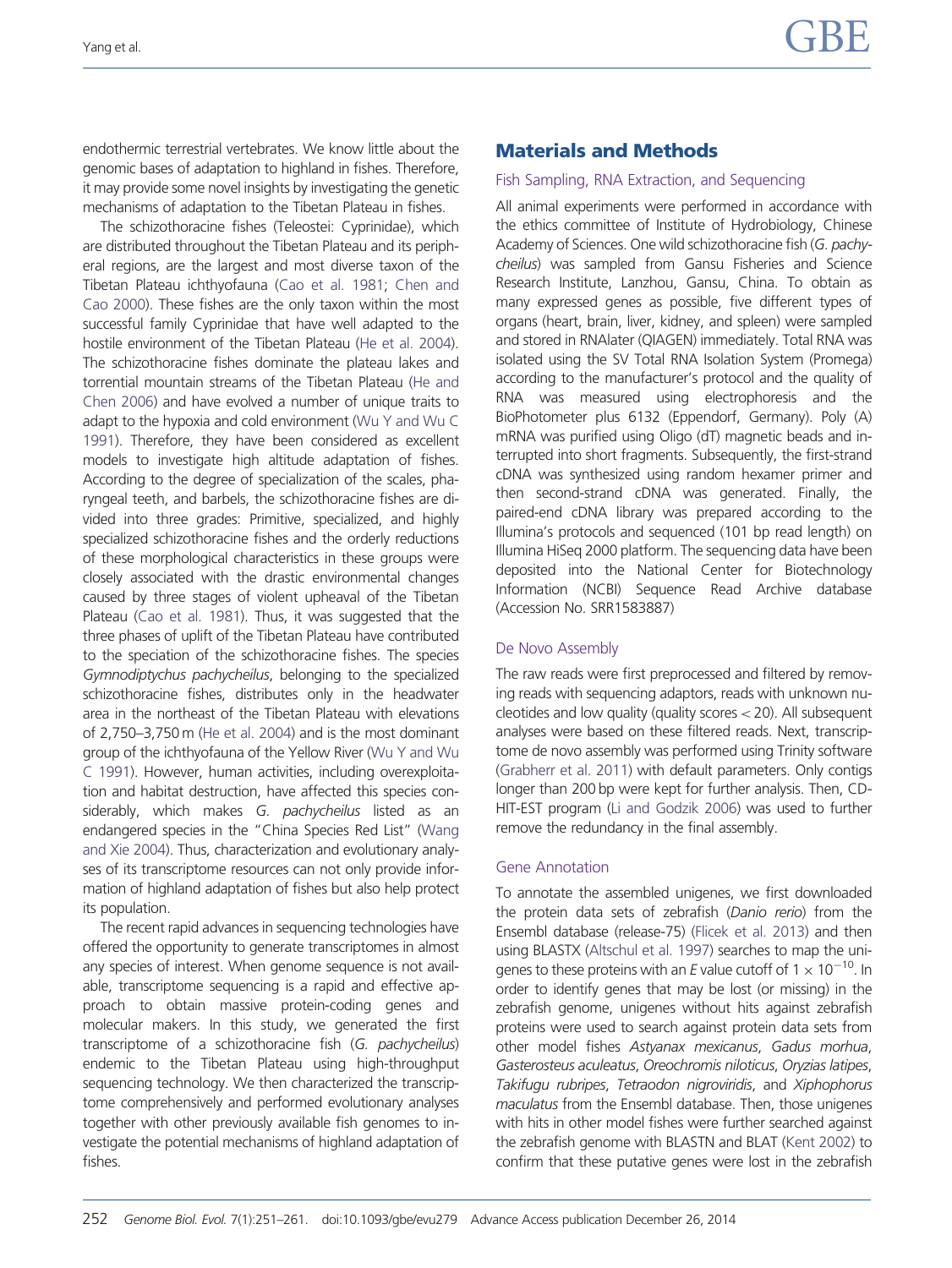endothermic terrestrial vertebrates. We know little about the genomic bases of adaptation to highland in fishes. Therefore, it may provide some novel insights by investigating the genetic mechanisms of adaptation to the Tibetan Plateau in fishes.

The schizothoracine fishes (Teleostei: Cyprinidae), which are distributed throughout the Tibetan Plateau and its peripheral regions, are the largest and most diverse taxon of the Tibetan Plateau ichthyofauna ([Cao et al. 1981](#page-9-0); [Chen and](#page-9-0) [Cao 2000\)](#page-9-0). These fishes are the only taxon within the most successful family Cyprinidae that have well adapted to the hostile environment of the Tibetan Plateau [\(He et al. 2004](#page-9-0)). The schizothoracine fishes dominate the plateau lakes and torrential mountain streams of the Tibetan Plateau [\(He and](#page-9-0) [Chen 2006](#page-9-0)) and have evolved a number of unique traits to adapt to the hypoxia and cold environment [\(Wu Y and Wu C](#page-10-0) [1991\)](#page-10-0). Therefore, they have been considered as excellent models to investigate high altitude adaptation of fishes. According to the degree of specialization of the scales, pharyngeal teeth, and barbels, the schizothoracine fishes are divided into three grades: Primitive, specialized, and highly specialized schizothoracine fishes and the orderly reductions of these morphological characteristics in these groups were closely associated with the drastic environmental changes caused by three stages of violent upheaval of the Tibetan Plateau [\(Cao et al. 1981\)](#page-9-0). Thus, it was suggested that the three phases of uplift of the Tibetan Plateau have contributed to the speciation of the schizothoracine fishes. The species Gymnodiptychus pachycheilus, belonging to the specialized schizothoracine fishes, distributes only in the headwater area in the northeast of the Tibetan Plateau with elevations of 2,750–3,750 m ([He et al. 2004](#page-9-0)) and is the most dominant group of the ichthyofauna of the Yellow River [\(Wu Y and Wu](#page-10-0) [C 1991\)](#page-10-0). However, human activities, including overexploitation and habitat destruction, have affected this species considerably, which makes G. pachycheilus listed as an endangered species in the "China Species Red List" [\(Wang](#page-10-0) [and Xie 2004\)](#page-10-0). Thus, characterization and evolutionary analyses of its transcriptome resources can not only provide information of highland adaptation of fishes but also help protect its population.

The recent rapid advances in sequencing technologies have offered the opportunity to generate transcriptomes in almost any species of interest. When genome sequence is not available, transcriptome sequencing is a rapid and effective approach to obtain massive protein-coding genes and molecular makers. In this study, we generated the first transcriptome of a schizothoracine fish (G. pachycheilus) endemic to the Tibetan Plateau using high-throughput sequencing technology. We then characterized the transcriptome comprehensively and performed evolutionary analyses together with other previously available fish genomes to investigate the potential mechanisms of highland adaptation of fishes.

## Materials and Methods

## Fish Sampling, RNA Extraction, and Sequencing

All animal experiments were performed in accordance with the ethics committee of Institute of Hydrobiology, Chinese Academy of Sciences. One wild schizothoracine fish (G. pachycheilus) was sampled from Gansu Fisheries and Science Research Institute, Lanzhou, Gansu, China. To obtain as many expressed genes as possible, five different types of organs (heart, brain, liver, kidney, and spleen) were sampled and stored in RNAlater (QIAGEN) immediately. Total RNA was isolated using the SV Total RNA Isolation System (Promega) according to the manufacturer's protocol and the quality of RNA was measured using electrophoresis and the BioPhotometer plus 6132 (Eppendorf, Germany). Poly (A) mRNA was purified using Oligo (dT) magnetic beads and interrupted into short fragments. Subsequently, the first-strand cDNA was synthesized using random hexamer primer and then second-strand cDNA was generated. Finally, the paired-end cDNA library was prepared according to the Illumina's protocols and sequenced (101 bp read length) on Illumina HiSeq 2000 platform. The sequencing data have been deposited into the National Center for Biotechnology Information (NCBI) Sequence Read Archive database (Accession No. SRR1583887)

## De Novo Assembly

The raw reads were first preprocessed and filtered by removing reads with sequencing adaptors, reads with unknown nucleotides and low quality (quality scores< 20). All subsequent analyses were based on these filtered reads. Next, transcriptome de novo assembly was performed using Trinity software ([Grabherr et al. 2011](#page-9-0)) with default parameters. Only contigs longer than 200 bp were kept for further analysis. Then, CD-HIT-EST program [\(Li and Godzik 2006](#page-9-0)) was used to further remove the redundancy in the final assembly.

## Gene Annotation

To annotate the assembled unigenes, we first downloaded the protein data sets of zebrafish (Danio rerio) from the Ensembl database (release-75) [\(Flicek et al. 2013\)](#page-9-0) and then using BLASTX ([Altschul et al. 1997](#page-9-0)) searches to map the unigenes to these proteins with an E value cutoff of  $1 \times 10^{-10}$ . In order to identify genes that may be lost (or missing) in the zebrafish genome, unigenes without hits against zebrafish proteins were used to search against protein data sets from other model fishes Astyanax mexicanus, Gadus morhua, Gasterosteus aculeatus, Oreochromis niloticus, Oryzias latipes, Takifugu rubripes, Tetraodon nigroviridis, and Xiphophorus maculatus from the Ensembl database. Then, those unigenes with hits in other model fishes were further searched against the zebrafish genome with BLASTN and BLAT [\(Kent 2002\)](#page-9-0) to confirm that these putative genes were lost in the zebrafish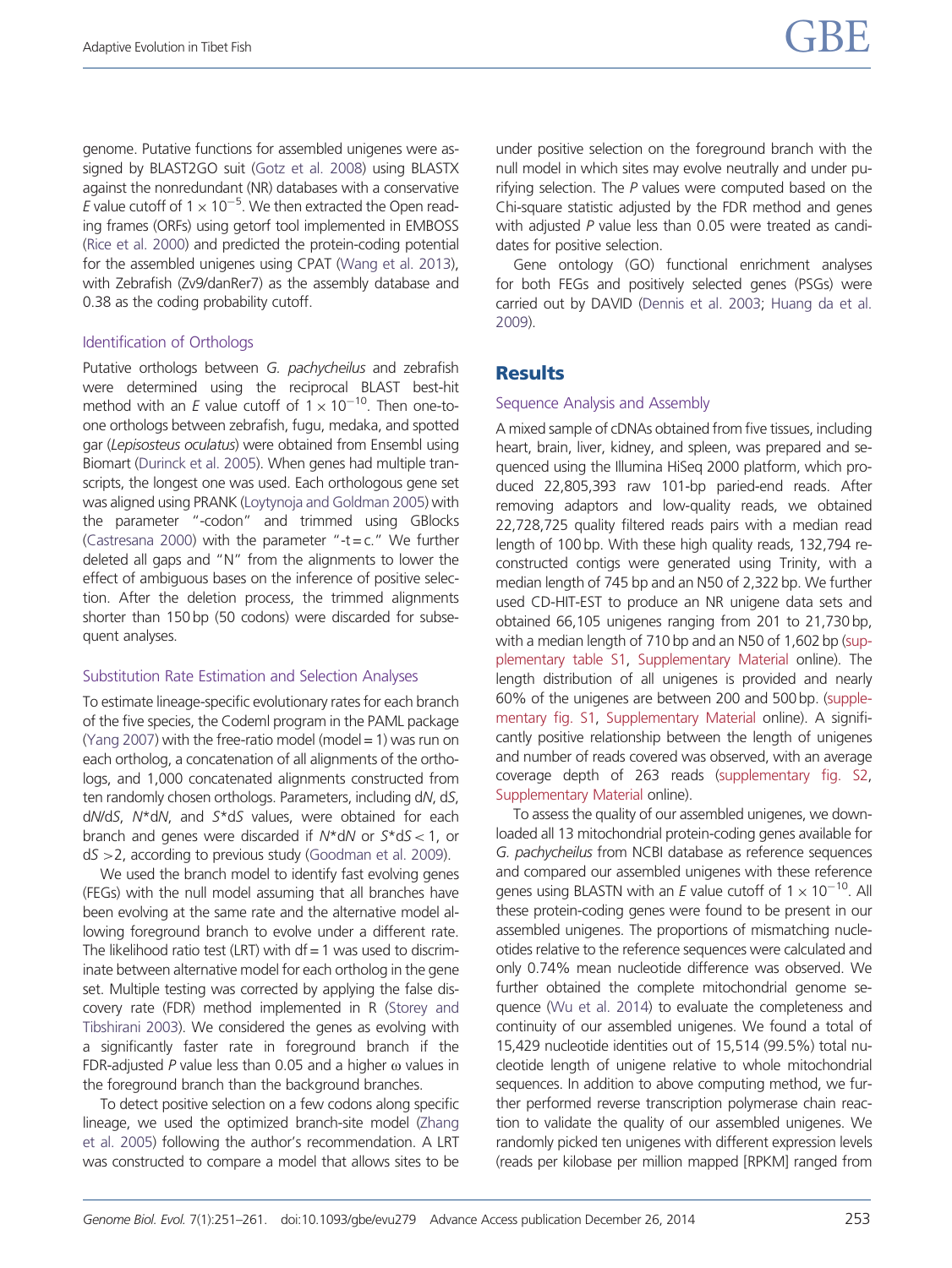genome. Putative functions for assembled unigenes were assigned by BLAST2GO suit [\(Gotz et al. 2008\)](#page-9-0) using BLASTX against the nonredundant (NR) databases with a conservative E value cutoff of  $1 \times 10^{-5}$ . We then extracted the Open reading frames (ORFs) using getorf tool implemented in EMBOSS [\(Rice et al. 2000\)](#page-10-0) and predicted the protein-coding potential for the assembled unigenes using CPAT [\(Wang et al. 2013](#page-10-0)), with Zebrafish (Zv9/danRer7) as the assembly database and 0.38 as the coding probability cutoff.

#### Identification of Orthologs

Putative orthologs between G. pachycheilus and zebrafish were determined using the reciprocal BLAST best-hit method with an E value cutoff of  $1 \times 10^{-10}$ . Then one-toone orthologs between zebrafish, fugu, medaka, and spotted gar (Lepisosteus oculatus) were obtained from Ensembl using Biomart ([Durinck et al. 2005](#page-9-0)). When genes had multiple transcripts, the longest one was used. Each orthologous gene set was aligned using PRANK [\(Loytynoja and Goldman 2005\)](#page-9-0) with the parameter "-codon" and trimmed using GBlocks [\(Castresana 2000](#page-9-0)) with the parameter "-t=c." We further deleted all gaps and "N" from the alignments to lower the effect of ambiguous bases on the inference of positive selection. After the deletion process, the trimmed alignments shorter than 150 bp (50 codons) were discarded for subsequent analyses.

#### Substitution Rate Estimation and Selection Analyses

To estimate lineage-specific evolutionary rates for each branch of the five species, the Codeml program in the PAML package [\(Yang 2007\)](#page-10-0) with the free-ratio model (model  $= 1$ ) was run on each ortholog, a concatenation of all alignments of the orthologs, and 1,000 concatenated alignments constructed from ten randomly chosen orthologs. Parameters, including dN, dS, dN/dS, N\*dN, and S\*dS values, were obtained for each branch and genes were discarded if  $N*dN$  or  $5*dS < 1$ , or dS >2, according to previous study ([Goodman et al. 2009\)](#page-9-0).

We used the branch model to identify fast evolving genes (FEGs) with the null model assuming that all branches have been evolving at the same rate and the alternative model allowing foreground branch to evolve under a different rate. The likelihood ratio test (LRT) with  $df = 1$  was used to discriminate between alternative model for each ortholog in the gene set. Multiple testing was corrected by applying the false discovery rate (FDR) method implemented in R [\(Storey and](#page-10-0) [Tibshirani 2003\)](#page-10-0). We considered the genes as evolving with a significantly faster rate in foreground branch if the FDR-adjusted P value less than 0.05 and a higher  $\omega$  values in the foreground branch than the background branches.

To detect positive selection on a few codons along specific lineage, we used the optimized branch-site model [\(Zhang](#page-10-0) [et al. 2005](#page-10-0)) following the author's recommendation. A LRT was constructed to compare a model that allows sites to be under positive selection on the foreground branch with the null model in which sites may evolve neutrally and under purifying selection. The  $P$  values were computed based on the Chi-square statistic adjusted by the FDR method and genes with adjusted P value less than 0.05 were treated as candidates for positive selection.

Gene ontology (GO) functional enrichment analyses for both FEGs and positively selected genes (PSGs) were carried out by DAVID [\(Dennis et al. 2003](#page-9-0); [Huang da et al.](#page-9-0) [2009](#page-9-0)).

## **Results**

#### Sequence Analysis and Assembly

A mixed sample of cDNAs obtained from five tissues, including heart, brain, liver, kidney, and spleen, was prepared and sequenced using the Illumina HiSeq 2000 platform, which produced 22,805,393 raw 101-bp paried-end reads. After removing adaptors and low-quality reads, we obtained 22,728,725 quality filtered reads pairs with a median read length of 100 bp. With these high quality reads, 132,794 reconstructed contigs were generated using Trinity, with a median length of 745 bp and an N50 of 2,322 bp. We further used CD-HIT-EST to produce an NR unigene data sets and obtained 66,105 unigenes ranging from 201 to 21,730 bp, with a median length of 710 bp and an N50 of 1,602 bp [\(sup](http://gbe.oxfordjournals.org/lookup/suppl/doi:10.1093/gbe/evu279/-/DC1)[plementary table S1,](http://gbe.oxfordjournals.org/lookup/suppl/doi:10.1093/gbe/evu279/-/DC1) [Supplementary Material](http://gbe.oxfordjournals.org/lookup/suppl/doi:10.1093/gbe/evu279/-/DC1) online). The length distribution of all unigenes is provided and nearly 60% of the unigenes are between 200 and 500 bp. [\(supple](http://gbe.oxfordjournals.org/lookup/suppl/doi:10.1093/gbe/evu279/-/DC1)[mentary fig. S1,](http://gbe.oxfordjournals.org/lookup/suppl/doi:10.1093/gbe/evu279/-/DC1) [Supplementary Material](http://gbe.oxfordjournals.org/lookup/suppl/doi:10.1093/gbe/evu279/-/DC1) online). A significantly positive relationship between the length of unigenes and number of reads covered was observed, with an average coverage depth of 263 reads [\(supplementary fig. S2](http://gbe.oxfordjournals.org/lookup/suppl/doi:10.1093/gbe/evu279/-/DC1), [Supplementary Material](http://gbe.oxfordjournals.org/lookup/suppl/doi:10.1093/gbe/evu279/-/DC1) online).

To assess the quality of our assembled unigenes, we downloaded all 13 mitochondrial protein-coding genes available for G. pachycheilus from NCBI database as reference sequences and compared our assembled unigenes with these reference genes using BLASTN with an E value cutoff of  $1 \times 10^{-10}$ . All these protein-coding genes were found to be present in our assembled unigenes. The proportions of mismatching nucleotides relative to the reference sequences were calculated and only 0.74% mean nucleotide difference was observed. We further obtained the complete mitochondrial genome sequence ([Wu et al. 2014\)](#page-10-0) to evaluate the completeness and continuity of our assembled unigenes. We found a total of 15,429 nucleotide identities out of 15,514 (99.5%) total nucleotide length of unigene relative to whole mitochondrial sequences. In addition to above computing method, we further performed reverse transcription polymerase chain reaction to validate the quality of our assembled unigenes. We randomly picked ten unigenes with different expression levels (reads per kilobase per million mapped [RPKM] ranged from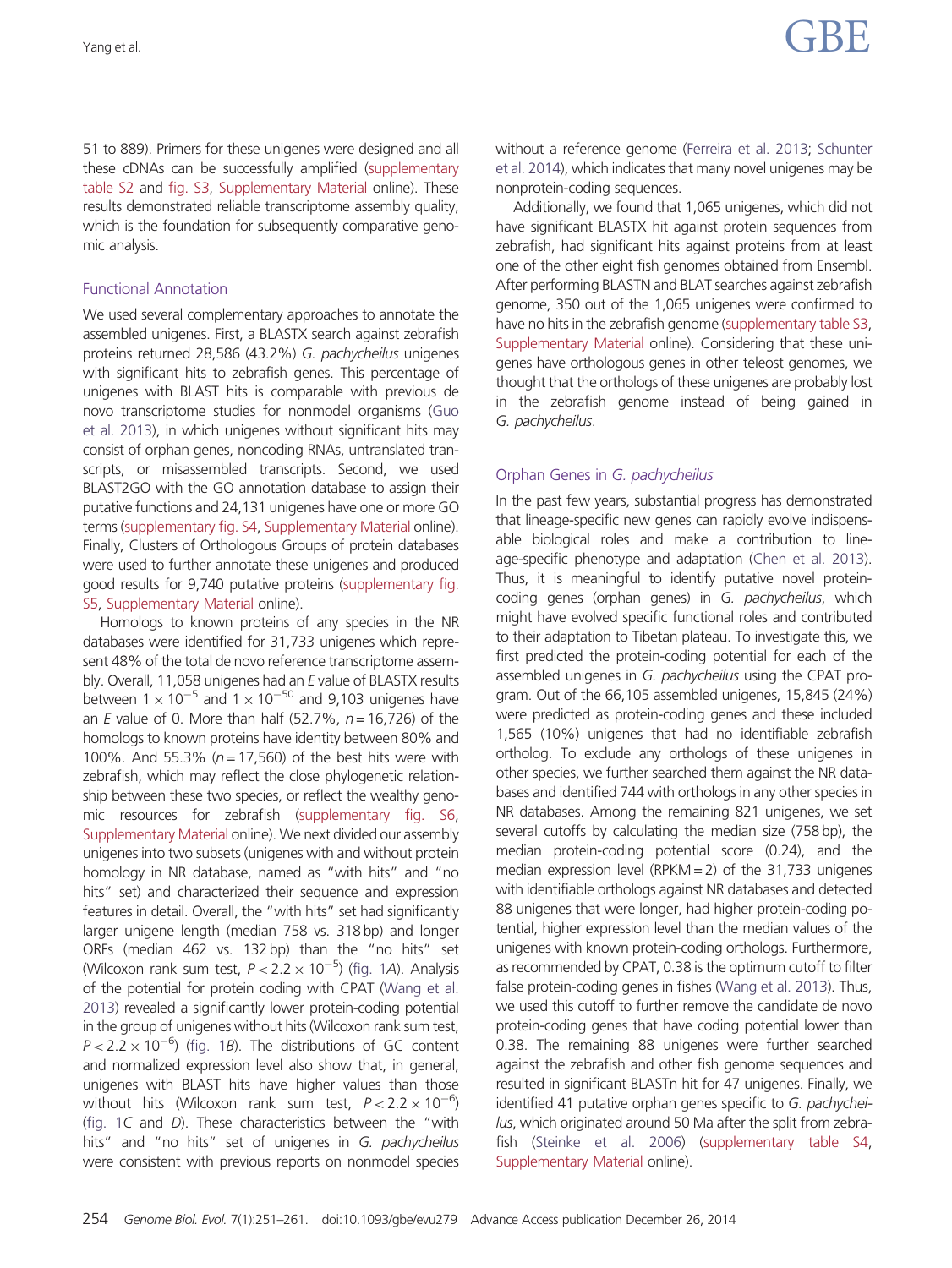51 to 889). Primers for these unigenes were designed and all these cDNAs can be successfully amplified ([supplementary](http://gbe.oxfordjournals.org/lookup/suppl/doi:10.1093/gbe/evu279/-/DC1) [table S2](http://gbe.oxfordjournals.org/lookup/suppl/doi:10.1093/gbe/evu279/-/DC1) and [fig. S3,](http://gbe.oxfordjournals.org/lookup/suppl/doi:10.1093/gbe/evu279/-/DC1) [Supplementary Material](http://gbe.oxfordjournals.org/lookup/suppl/doi:10.1093/gbe/evu279/-/DC1) online). These results demonstrated reliable transcriptome assembly quality, which is the foundation for subsequently comparative genomic analysis.

#### Functional Annotation

We used several complementary approaches to annotate the assembled unigenes. First, a BLASTX search against zebrafish proteins returned 28,586 (43.2%) G. pachycheilus unigenes with significant hits to zebrafish genes. This percentage of unigenes with BLAST hits is comparable with previous de novo transcriptome studies for nonmodel organisms ([Guo](#page-9-0) [et al. 2013](#page-9-0)), in which unigenes without significant hits may consist of orphan genes, noncoding RNAs, untranslated transcripts, or misassembled transcripts. Second, we used BLAST2GO with the GO annotation database to assign their putative functions and 24,131 unigenes have one or more GO terms [\(supplementary fig. S4,](http://gbe.oxfordjournals.org/lookup/suppl/doi:10.1093/gbe/evu279/-/DC1) [Supplementary Material](http://gbe.oxfordjournals.org/lookup/suppl/doi:10.1093/gbe/evu279/-/DC1) online). Finally, Clusters of Orthologous Groups of protein databases were used to further annotate these unigenes and produced good results for 9,740 putative proteins [\(supplementary fig.](http://gbe.oxfordjournals.org/lookup/suppl/doi:10.1093/gbe/evu279/-/DC1) [S5](http://gbe.oxfordjournals.org/lookup/suppl/doi:10.1093/gbe/evu279/-/DC1), [Supplementary Material](http://gbe.oxfordjournals.org/lookup/suppl/doi:10.1093/gbe/evu279/-/DC1) online).

Homologs to known proteins of any species in the NR databases were identified for 31,733 unigenes which represent 48% of the total de novo reference transcriptome assembly. Overall, 11,058 unigenes had an E value of BLASTX results between 1  $\times$  10<sup>-5</sup> and 1  $\times$  10<sup>-50</sup> and 9,103 unigenes have an  $E$  value of 0. More than half (52.7%,  $n = 16,726$ ) of the homologs to known proteins have identity between 80% and 100%. And 55.3% ( $n = 17,560$ ) of the best hits were with zebrafish, which may reflect the close phylogenetic relationship between these two species, or reflect the wealthy genomic resources for zebrafish [\(supplementary fig. S6,](http://gbe.oxfordjournals.org/lookup/suppl/doi:10.1093/gbe/evu279/-/DC1) [Supplementary Material](http://gbe.oxfordjournals.org/lookup/suppl/doi:10.1093/gbe/evu279/-/DC1) online). We next divided our assembly unigenes into two subsets (unigenes with and without protein homology in NR database, named as "with hits" and "no hits" set) and characterized their sequence and expression features in detail. Overall, the "with hits" set had significantly larger unigene length (median 758 vs. 318 bp) and longer ORFs (median 462 vs. 132 bp) than the "no hits" set (Wilcoxon rank sum test,  $P < 2.2 \times 10^{-5}$ ) ([fig. 1](#page-4-0)A). Analysis of the potential for protein coding with CPAT [\(Wang et al.](#page-10-0) [2013\)](#page-10-0) revealed a significantly lower protein-coding potential in the group of unigenes without hits (Wilcoxon rank sum test,  $P < 2.2 \times 10^{-6}$ ) [\(fig. 1](#page-4-0)B). The distributions of GC content and normalized expression level also show that, in general, unigenes with BLAST hits have higher values than those without hits (Wilcoxon rank sum test,  $P < 2.2 \times 10^{-6}$ ) [\(fig. 1](#page-4-0)C and D). These characteristics between the "with hits" and "no hits" set of unigenes in G. pachycheilus were consistent with previous reports on nonmodel species without a reference genome [\(Ferreira et al. 2013;](#page-9-0) [Schunter](#page-10-0) [et al. 2014\)](#page-10-0), which indicates that many novel unigenes may be nonprotein-coding sequences.

Additionally, we found that 1,065 unigenes, which did not have significant BLASTX hit against protein sequences from zebrafish, had significant hits against proteins from at least one of the other eight fish genomes obtained from Ensembl. After performing BLASTN and BLAT searches against zebrafish genome, 350 out of the 1,065 unigenes were confirmed to have no hits in the zebrafish genome [\(supplementary table S3](http://gbe.oxfordjournals.org/lookup/suppl/doi:10.1093/gbe/evu279/-/DC1), [Supplementary Material](http://gbe.oxfordjournals.org/lookup/suppl/doi:10.1093/gbe/evu279/-/DC1) online). Considering that these unigenes have orthologous genes in other teleost genomes, we thought that the orthologs of these unigenes are probably lost in the zebrafish genome instead of being gained in G. pachycheilus.

## Orphan Genes in G. pachycheilus

In the past few years, substantial progress has demonstrated that lineage-specific new genes can rapidly evolve indispensable biological roles and make a contribution to lineage-specific phenotype and adaptation [\(Chen et al. 2013\)](#page-9-0). Thus, it is meaningful to identify putative novel proteincoding genes (orphan genes) in G. pachycheilus, which might have evolved specific functional roles and contributed to their adaptation to Tibetan plateau. To investigate this, we first predicted the protein-coding potential for each of the assembled unigenes in G. pachycheilus using the CPAT program. Out of the 66,105 assembled unigenes, 15,845 (24%) were predicted as protein-coding genes and these included 1,565 (10%) unigenes that had no identifiable zebrafish ortholog. To exclude any orthologs of these unigenes in other species, we further searched them against the NR databases and identified 744 with orthologs in any other species in NR databases. Among the remaining 821 unigenes, we set several cutoffs by calculating the median size (758 bp), the median protein-coding potential score (0.24), and the median expression level (RPKM  $=$  2) of the 31,733 unigenes with identifiable orthologs against NR databases and detected 88 unigenes that were longer, had higher protein-coding potential, higher expression level than the median values of the unigenes with known protein-coding orthologs. Furthermore, as recommended by CPAT, 0.38 is the optimum cutoff to filter false protein-coding genes in fishes [\(Wang et al. 2013\)](#page-10-0). Thus, we used this cutoff to further remove the candidate de novo protein-coding genes that have coding potential lower than 0.38. The remaining 88 unigenes were further searched against the zebrafish and other fish genome sequences and resulted in significant BLASTn hit for 47 unigenes. Finally, we identified 41 putative orphan genes specific to G. pachycheilus, which originated around 50 Ma after the split from zebrafish [\(Steinke et al. 2006](#page-10-0)) [\(supplementary table S4](http://gbe.oxfordjournals.org/lookup/suppl/doi:10.1093/gbe/evu279/-/DC1), [Supplementary Material](http://gbe.oxfordjournals.org/lookup/suppl/doi:10.1093/gbe/evu279/-/DC1) online).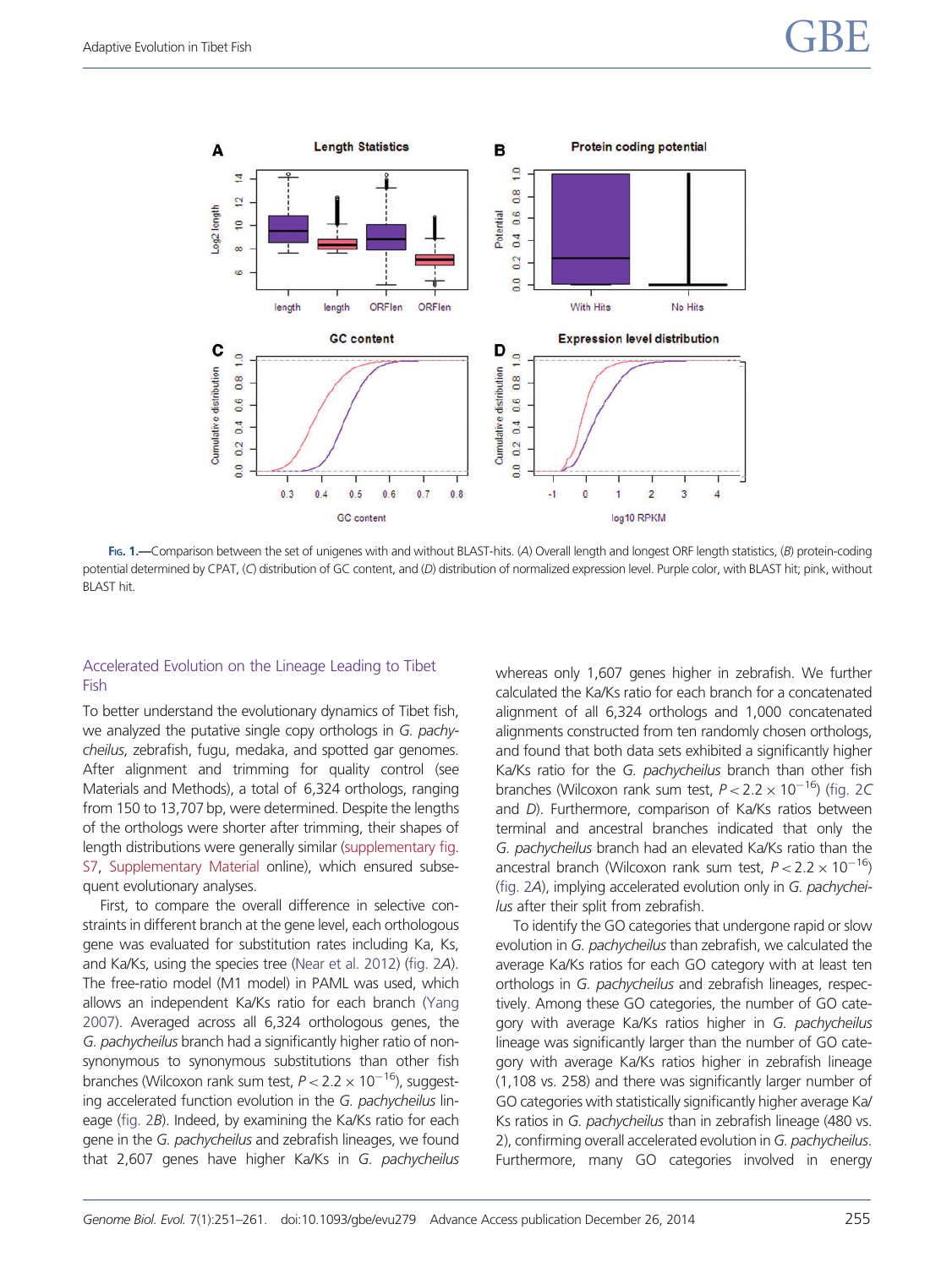<span id="page-4-0"></span>

FIG. 1.—Comparison between the set of unigenes with and without BLAST-hits. (A) Overall length and longest ORF length statistics, (B) protein-coding potential determined by CPAT, (C) distribution of GC content, and (D) distribution of normalized expression level. Purple color, with BLAST hit; pink, without BLAST hit.

#### Accelerated Evolution on the Lineage Leading to Tibet Fish

To better understand the evolutionary dynamics of Tibet fish, we analyzed the putative single copy orthologs in G. pachycheilus, zebrafish, fugu, medaka, and spotted gar genomes. After alignment and trimming for quality control (see Materials and Methods), a total of 6,324 orthologs, ranging from 150 to 13,707 bp, were determined. Despite the lengths of the orthologs were shorter after trimming, their shapes of length distributions were generally similar ([supplementary fig.](http://gbe.oxfordjournals.org/lookup/suppl/doi:10.1093/gbe/evu279/-/DC1) [S7](http://gbe.oxfordjournals.org/lookup/suppl/doi:10.1093/gbe/evu279/-/DC1), [Supplementary Material](http://gbe.oxfordjournals.org/lookup/suppl/doi:10.1093/gbe/evu279/-/DC1) online), which ensured subsequent evolutionary analyses.

First, to compare the overall difference in selective constraints in different branch at the gene level, each orthologous gene was evaluated for substitution rates including Ka, Ks, and Ka/Ks, using the species tree [\(Near et al. 2012](#page-9-0)) [\(fig. 2](#page-5-0)A). The free-ratio model (M1 model) in PAML was used, which allows an independent Ka/Ks ratio for each branch [\(Yang](#page-10-0) [2007\)](#page-10-0). Averaged across all 6,324 orthologous genes, the G. pachycheilus branch had a significantly higher ratio of nonsynonymous to synonymous substitutions than other fish branches (Wilcoxon rank sum test,  $P$  < 2.2  $\times$  10<sup>–16</sup>), suggesting accelerated function evolution in the G. pachycheilus lineage [\(fig. 2](#page-5-0)B). Indeed, by examining the Ka/Ks ratio for each gene in the G. pachycheilus and zebrafish lineages, we found that 2,607 genes have higher Ka/Ks in G. pachycheilus whereas only 1,607 genes higher in zebrafish. We further calculated the Ka/Ks ratio for each branch for a concatenated alignment of all 6,324 orthologs and 1,000 concatenated alignments constructed from ten randomly chosen orthologs, and found that both data sets exhibited a significantly higher Ka/Ks ratio for the G. pachycheilus branch than other fish branches (Wilcoxon rank sum test,  $P < 2.2 \times 10^{-16}$ ) [\(fig. 2](#page-5-0)C and D). Furthermore, comparison of Ka/Ks ratios between terminal and ancestral branches indicated that only the G. pachycheilus branch had an elevated Ka/Ks ratio than the ancestral branch (Wilcoxon rank sum test,  $P < 2.2 \times 10^{-16}$ ) ([fig. 2](#page-5-0)A), implying accelerated evolution only in G. pachycheilus after their split from zebrafish.

To identify the GO categories that undergone rapid or slow evolution in G. pachycheilus than zebrafish, we calculated the average Ka/Ks ratios for each GO category with at least ten orthologs in G. pachycheilus and zebrafish lineages, respectively. Among these GO categories, the number of GO category with average Ka/Ks ratios higher in G. pachycheilus lineage was significantly larger than the number of GO category with average Ka/Ks ratios higher in zebrafish lineage (1,108 vs. 258) and there was significantly larger number of GO categories with statistically significantly higher average Ka/ Ks ratios in G. pachycheilus than in zebrafish lineage (480 vs. 2), confirming overall accelerated evolution in G. pachycheilus. Furthermore, many GO categories involved in energy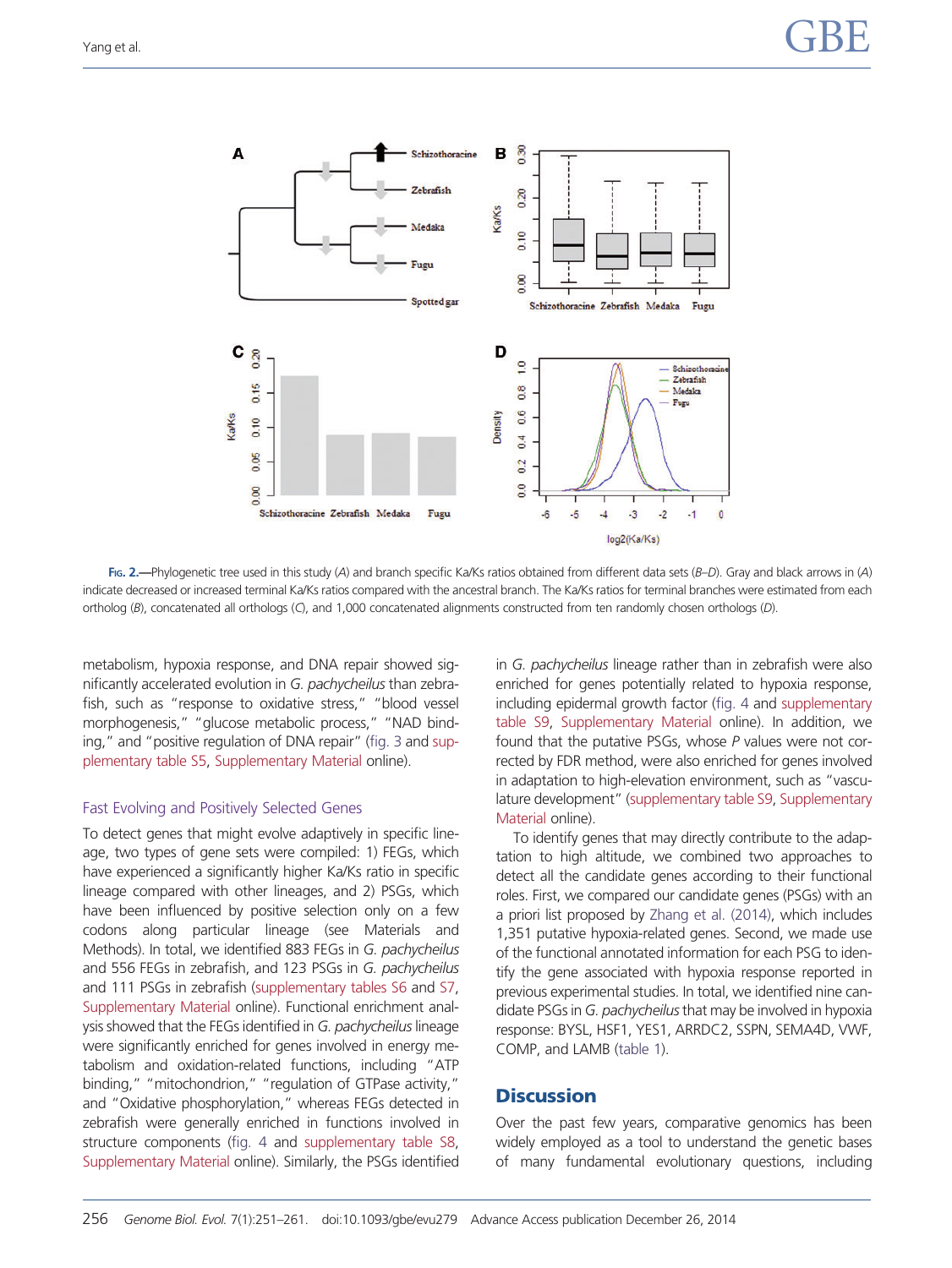<span id="page-5-0"></span>

FIG. 2.—Phylogenetic tree used in this study (A) and branch specific Ka/Ks ratios obtained from different data sets (B–D). Gray and black arrows in (A) indicate decreased or increased terminal Ka/Ks ratios compared with the ancestral branch. The Ka/Ks ratios for terminal branches were estimated from each ortholog (B), concatenated all orthologs (C), and 1,000 concatenated alignments constructed from ten randomly chosen orthologs (D).

metabolism, hypoxia response, and DNA repair showed significantly accelerated evolution in G. pachycheilus than zebrafish, such as "response to oxidative stress," "blood vessel morphogenesis," "glucose metabolic process," "NAD binding," and "positive regulation of DNA repair" [\(fig. 3](#page-6-0) and [sup](http://gbe.oxfordjournals.org/lookup/suppl/doi:10.1093/gbe/evu279/-/DC1)[plementary table S5](http://gbe.oxfordjournals.org/lookup/suppl/doi:10.1093/gbe/evu279/-/DC1), [Supplementary Material](http://gbe.oxfordjournals.org/lookup/suppl/doi:10.1093/gbe/evu279/-/DC1) online).

#### Fast Evolving and Positively Selected Genes

To detect genes that might evolve adaptively in specific lineage, two types of gene sets were compiled: 1) FEGs, which have experienced a significantly higher Ka/Ks ratio in specific lineage compared with other lineages, and 2) PSGs, which have been influenced by positive selection only on a few codons along particular lineage (see Materials and Methods). In total, we identified 883 FEGs in G. pachycheilus and 556 FEGs in zebrafish, and 123 PSGs in G. pachycheilus and 111 PSGs in zebrafish ([supplementary tables S6](http://gbe.oxfordjournals.org/lookup/suppl/doi:10.1093/gbe/evu279/-/DC1) and [S7,](http://gbe.oxfordjournals.org/lookup/suppl/doi:10.1093/gbe/evu279/-/DC1) [Supplementary Material](http://gbe.oxfordjournals.org/lookup/suppl/doi:10.1093/gbe/evu279/-/DC1) online). Functional enrichment analysis showed that the FEGs identified in G. pachycheilus lineage were significantly enriched for genes involved in energy metabolism and oxidation-related functions, including "ATP binding," "mitochondrion," "regulation of GTPase activity," and "Oxidative phosphorylation," whereas FEGs detected in zebrafish were generally enriched in functions involved in structure components [\(fig. 4](#page-7-0) and [supplementary table S8,](http://gbe.oxfordjournals.org/lookup/suppl/doi:10.1093/gbe/evu279/-/DC1) [Supplementary Material](http://gbe.oxfordjournals.org/lookup/suppl/doi:10.1093/gbe/evu279/-/DC1) online). Similarly, the PSGs identified in G. pachycheilus lineage rather than in zebrafish were also enriched for genes potentially related to hypoxia response, including epidermal growth factor [\(fig. 4](#page-7-0) and [supplementary](http://gbe.oxfordjournals.org/lookup/suppl/doi:10.1093/gbe/evu279/-/DC1) [table S9,](http://gbe.oxfordjournals.org/lookup/suppl/doi:10.1093/gbe/evu279/-/DC1) [Supplementary Material](http://gbe.oxfordjournals.org/lookup/suppl/doi:10.1093/gbe/evu279/-/DC1) online). In addition, we found that the putative PSGs, whose P values were not corrected by FDR method, were also enriched for genes involved in adaptation to high-elevation environment, such as "vasculature development" [\(supplementary table S9](http://gbe.oxfordjournals.org/lookup/suppl/doi:10.1093/gbe/evu279/-/DC1), [Supplementary](http://gbe.oxfordjournals.org/lookup/suppl/doi:10.1093/gbe/evu279/-/DC1) [Material](http://gbe.oxfordjournals.org/lookup/suppl/doi:10.1093/gbe/evu279/-/DC1) online).

To identify genes that may directly contribute to the adaptation to high altitude, we combined two approaches to detect all the candidate genes according to their functional roles. First, we compared our candidate genes (PSGs) with an a priori list proposed by [Zhang et al. \(2014\),](#page-10-0) which includes 1,351 putative hypoxia-related genes. Second, we made use of the functional annotated information for each PSG to identify the gene associated with hypoxia response reported in previous experimental studies. In total, we identified nine candidate PSGs in G. pachycheilus that may be involved in hypoxia response: BYSL, HSF1, YES1, ARRDC2, SSPN, SEMA4D, VWF, COMP, and LAMB [\(table 1\)](#page-8-0).

## **Discussion**

Over the past few years, comparative genomics has been widely employed as a tool to understand the genetic bases of many fundamental evolutionary questions, including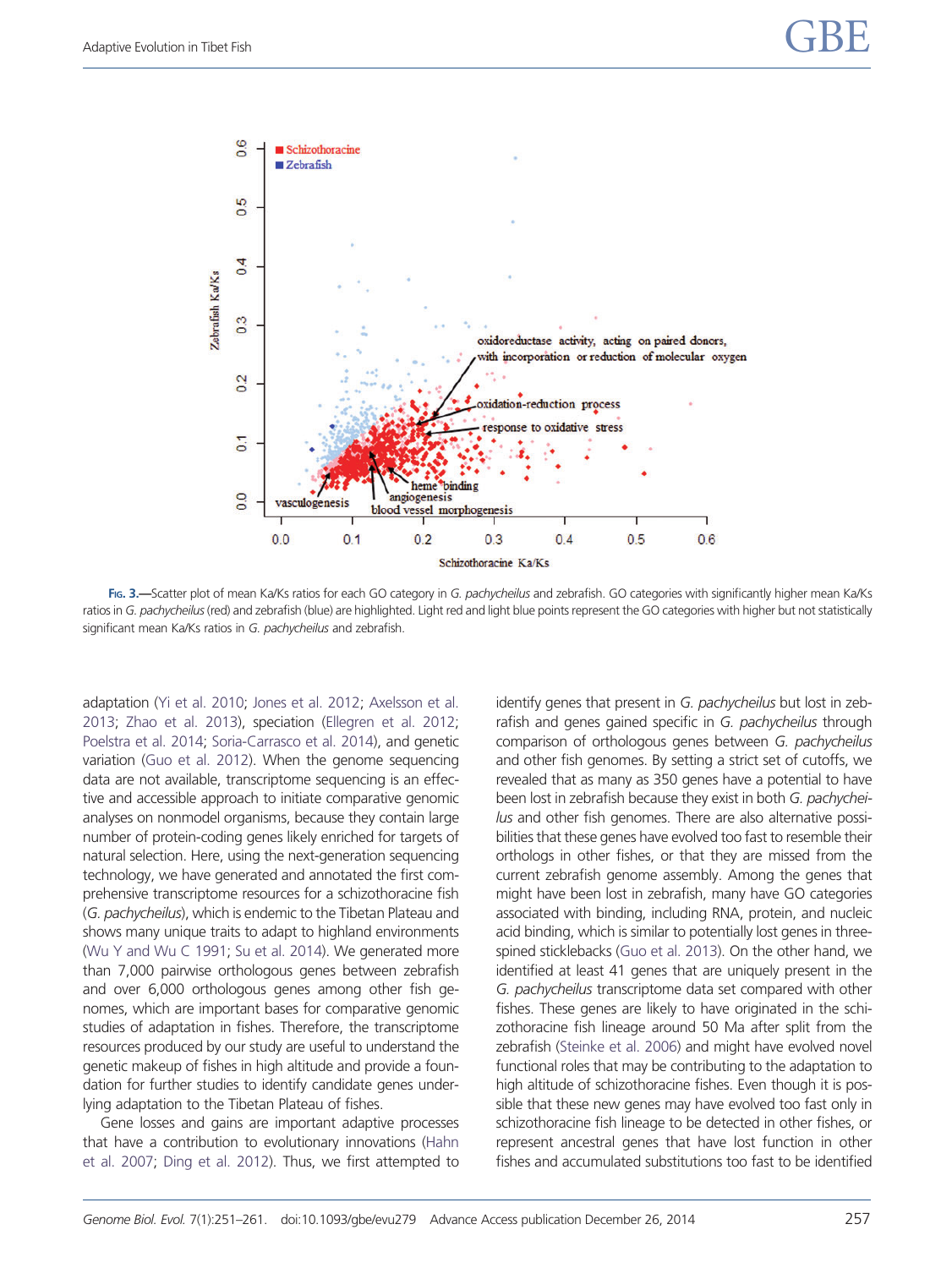<span id="page-6-0"></span>

FIG. 3.-Scatter plot of mean Ka/Ks ratios for each GO category in G. pachycheilus and zebrafish. GO categories with significantly higher mean Ka/Ks ratios in G. pachycheilus (red) and zebrafish (blue) are highlighted. Light red and light blue points represent the GO categories with higher but not statistically significant mean Ka/Ks ratios in G. pachycheilus and zebrafish.

adaptation [\(Yi et al. 2010;](#page-10-0) [Jones et al. 2012](#page-9-0); [Axelsson et al.](#page-9-0) [2013;](#page-9-0) [Zhao et al. 2013\)](#page-10-0), speciation [\(Ellegren et al. 2012;](#page-9-0) [Poelstra et al. 2014](#page-9-0); [Soria-Carrasco et al. 2014\)](#page-10-0), and genetic variation [\(Guo et al. 2012\)](#page-9-0). When the genome sequencing data are not available, transcriptome sequencing is an effective and accessible approach to initiate comparative genomic analyses on nonmodel organisms, because they contain large number of protein-coding genes likely enriched for targets of natural selection. Here, using the next-generation sequencing technology, we have generated and annotated the first comprehensive transcriptome resources for a schizothoracine fish (G. pachycheilus), which is endemic to the Tibetan Plateau and shows many unique traits to adapt to highland environments [\(Wu Y and Wu C 1991](#page-10-0); [Su et al. 2014](#page-10-0)). We generated more than 7,000 pairwise orthologous genes between zebrafish and over 6,000 orthologous genes among other fish genomes, which are important bases for comparative genomic studies of adaptation in fishes. Therefore, the transcriptome resources produced by our study are useful to understand the genetic makeup of fishes in high altitude and provide a foundation for further studies to identify candidate genes underlying adaptation to the Tibetan Plateau of fishes.

Gene losses and gains are important adaptive processes that have a contribution to evolutionary innovations ([Hahn](#page-9-0) [et al. 2007;](#page-9-0) [Ding et al. 2012](#page-9-0)). Thus, we first attempted to identify genes that present in G. pachycheilus but lost in zebrafish and genes gained specific in G. pachycheilus through comparison of orthologous genes between G. pachycheilus and other fish genomes. By setting a strict set of cutoffs, we revealed that as many as 350 genes have a potential to have been lost in zebrafish because they exist in both G. pachycheilus and other fish genomes. There are also alternative possibilities that these genes have evolved too fast to resemble their orthologs in other fishes, or that they are missed from the current zebrafish genome assembly. Among the genes that might have been lost in zebrafish, many have GO categories associated with binding, including RNA, protein, and nucleic acid binding, which is similar to potentially lost genes in threespined sticklebacks [\(Guo et al. 2013](#page-9-0)). On the other hand, we identified at least 41 genes that are uniquely present in the G. pachycheilus transcriptome data set compared with other fishes. These genes are likely to have originated in the schizothoracine fish lineage around 50 Ma after split from the zebrafish [\(Steinke et al. 2006\)](#page-10-0) and might have evolved novel functional roles that may be contributing to the adaptation to high altitude of schizothoracine fishes. Even though it is possible that these new genes may have evolved too fast only in schizothoracine fish lineage to be detected in other fishes, or represent ancestral genes that have lost function in other fishes and accumulated substitutions too fast to be identified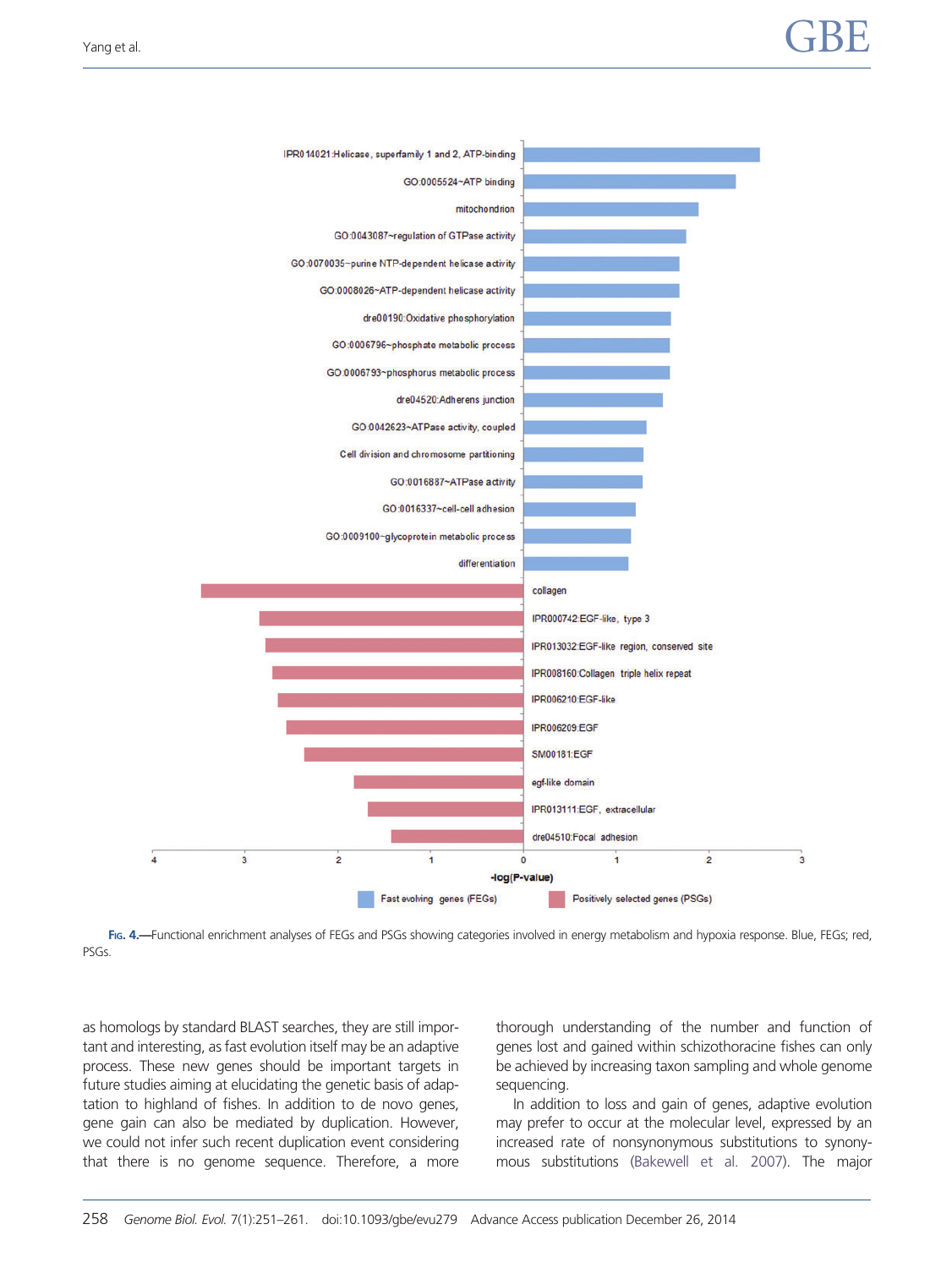<span id="page-7-0"></span>

FIG. 4.—Functional enrichment analyses of FEGs and PSGs showing categories involved in energy metabolism and hypoxia response. Blue, FEGs; red, PSGs.

as homologs by standard BLAST searches, they are still important and interesting, as fast evolution itself may be an adaptive process. These new genes should be important targets in future studies aiming at elucidating the genetic basis of adaptation to highland of fishes. In addition to de novo genes, gene gain can also be mediated by duplication. However, we could not infer such recent duplication event considering that there is no genome sequence. Therefore, a more thorough understanding of the number and function of genes lost and gained within schizothoracine fishes can only be achieved by increasing taxon sampling and whole genome sequencing.

In addition to loss and gain of genes, adaptive evolution may prefer to occur at the molecular level, expressed by an increased rate of nonsynonymous substitutions to synonymous substitutions [\(Bakewell et al. 2007\)](#page-9-0). The major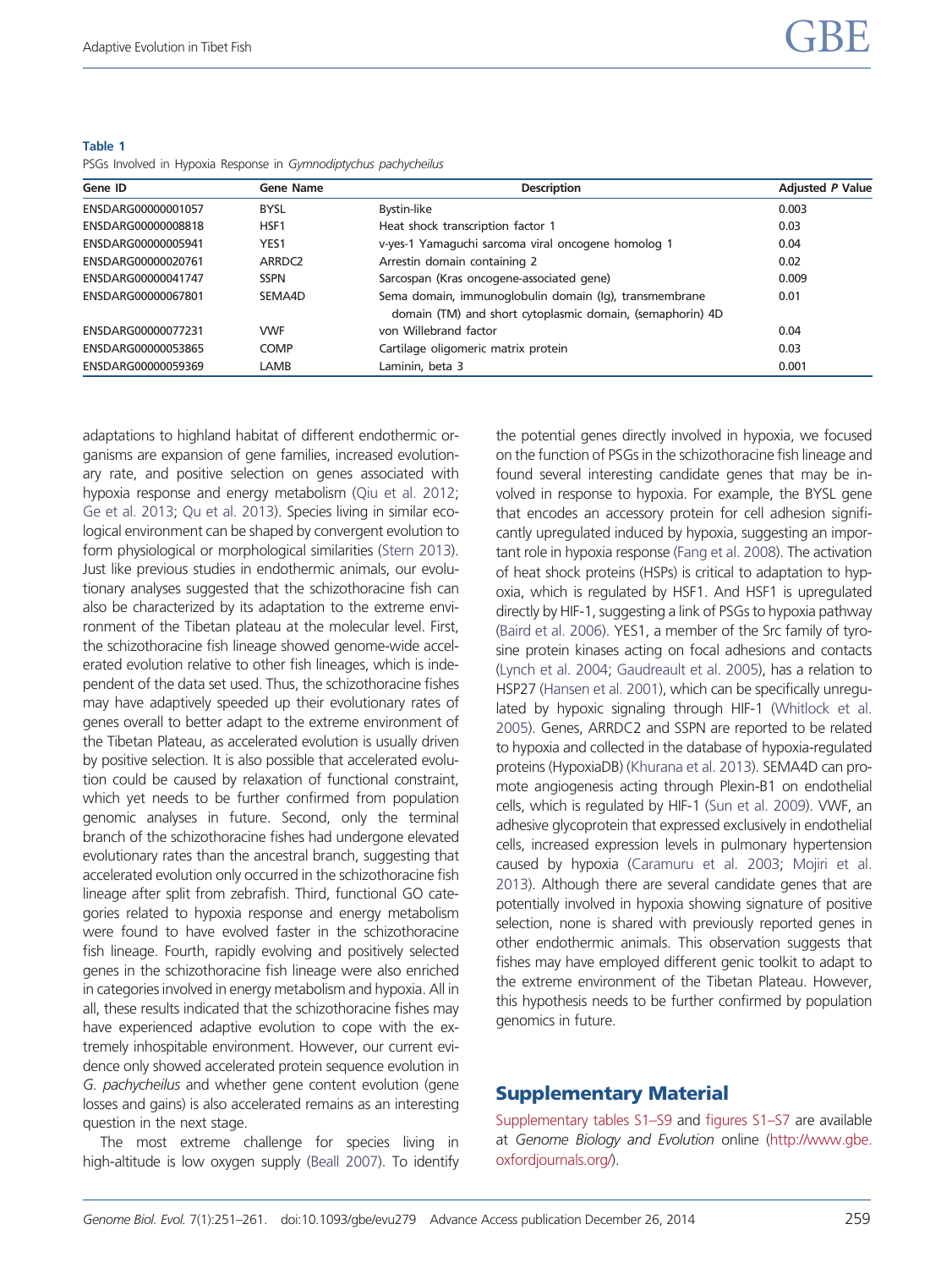| Gene ID            | <b>Gene Name</b>   | <b>Description</b>                                                                                                  | <b>Adjusted P Value</b> |
|--------------------|--------------------|---------------------------------------------------------------------------------------------------------------------|-------------------------|
| ENSDARG00000001057 | <b>BYSL</b>        | Bystin-like                                                                                                         | 0.003                   |
| ENSDARG00000008818 | HSF <sub>1</sub>   | Heat shock transcription factor 1                                                                                   | 0.03                    |
| ENSDARG00000005941 | YES1               | v-yes-1 Yamaguchi sarcoma viral oncogene homolog 1                                                                  | 0.04                    |
| ENSDARG00000020761 | ARRDC <sub>2</sub> | Arrestin domain containing 2                                                                                        | 0.02                    |
| ENSDARG00000041747 | <b>SSPN</b>        | Sarcospan (Kras oncogene-associated gene)                                                                           | 0.009                   |
| ENSDARG00000067801 | SEMA4D             | Sema domain, immunoglobulin domain (Iq), transmembrane<br>domain (TM) and short cytoplasmic domain, (semaphorin) 4D | 0.01                    |
| ENSDARG00000077231 | <b>VWF</b>         | von Willebrand factor                                                                                               | 0.04                    |
| ENSDARG00000053865 | <b>COMP</b>        | Cartilage oligomeric matrix protein                                                                                 | 0.03                    |
| ENSDARG00000059369 | LAMB               | Laminin, beta 3                                                                                                     | 0.001                   |

<span id="page-8-0"></span>Table 1 PSGs Involved in Hypoxia Response in Gymnodiptychus pachycheilus

adaptations to highland habitat of different endothermic organisms are expansion of gene families, increased evolutionary rate, and positive selection on genes associated with hypoxia response and energy metabolism [\(Qiu et al. 2012;](#page-10-0) [Ge et al. 2013;](#page-9-0) [Qu et al. 2013](#page-10-0)). Species living in similar ecological environment can be shaped by convergent evolution to form physiological or morphological similarities [\(Stern 2013](#page-10-0)). Just like previous studies in endothermic animals, our evolutionary analyses suggested that the schizothoracine fish can also be characterized by its adaptation to the extreme environment of the Tibetan plateau at the molecular level. First, the schizothoracine fish lineage showed genome-wide accelerated evolution relative to other fish lineages, which is independent of the data set used. Thus, the schizothoracine fishes may have adaptively speeded up their evolutionary rates of genes overall to better adapt to the extreme environment of the Tibetan Plateau, as accelerated evolution is usually driven by positive selection. It is also possible that accelerated evolution could be caused by relaxation of functional constraint, which yet needs to be further confirmed from population genomic analyses in future. Second, only the terminal branch of the schizothoracine fishes had undergone elevated evolutionary rates than the ancestral branch, suggesting that accelerated evolution only occurred in the schizothoracine fish lineage after split from zebrafish. Third, functional GO categories related to hypoxia response and energy metabolism were found to have evolved faster in the schizothoracine fish lineage. Fourth, rapidly evolving and positively selected genes in the schizothoracine fish lineage were also enriched in categories involved in energy metabolism and hypoxia. All in all, these results indicated that the schizothoracine fishes may have experienced adaptive evolution to cope with the extremely inhospitable environment. However, our current evidence only showed accelerated protein sequence evolution in G. pachycheilus and whether gene content evolution (gene losses and gains) is also accelerated remains as an interesting question in the next stage.

The most extreme challenge for species living in high-altitude is low oxygen supply ([Beall 2007](#page-9-0)). To identify the potential genes directly involved in hypoxia, we focused on the function of PSGs in the schizothoracine fish lineage and found several interesting candidate genes that may be involved in response to hypoxia. For example, the BYSL gene that encodes an accessory protein for cell adhesion significantly upregulated induced by hypoxia, suggesting an important role in hypoxia response [\(Fang et al. 2008\)](#page-9-0). The activation of heat shock proteins (HSPs) is critical to adaptation to hypoxia, which is regulated by HSF1. And HSF1 is upregulated directly by HIF-1, suggesting a link of PSGs to hypoxia pathway ([Baird et al. 2006\)](#page-9-0). YES1, a member of the Src family of tyrosine protein kinases acting on focal adhesions and contacts ([Lynch et al. 2004](#page-9-0); [Gaudreault et al. 2005](#page-9-0)), has a relation to HSP27 [\(Hansen et al. 2001](#page-9-0)), which can be specifically unregulated by hypoxic signaling through HIF-1 [\(Whitlock et al.](#page-10-0) [2005](#page-10-0)). Genes, ARRDC2 and SSPN are reported to be related to hypoxia and collected in the database of hypoxia-regulated proteins (HypoxiaDB) ([Khurana et al. 2013](#page-9-0)). SEMA4D can promote angiogenesis acting through Plexin-B1 on endothelial cells, which is regulated by HIF-1 ([Sun et al. 2009](#page-10-0)). VWF, an adhesive glycoprotein that expressed exclusively in endothelial cells, increased expression levels in pulmonary hypertension caused by hypoxia [\(Caramuru et al. 2003;](#page-9-0) [Mojiri et al.](#page-9-0) [2013](#page-9-0)). Although there are several candidate genes that are potentially involved in hypoxia showing signature of positive selection, none is shared with previously reported genes in other endothermic animals. This observation suggests that fishes may have employed different genic toolkit to adapt to the extreme environment of the Tibetan Plateau. However, this hypothesis needs to be further confirmed by population genomics in future.

## Supplementary Material

[Supplementary tables S1–S9](http://gbe.oxfordjournals.org/lookup/suppl/doi:10.1093/gbe/evu279/-/DC1) and [figures S1–S7](http://gbe.oxfordjournals.org/lookup/suppl/doi:10.1093/gbe/evu279/-/DC1) are available at Genome Biology and Evolution online [\(http://www.gbe.](http://www.gbe.oxfordjournals.org/) [oxfordjournals.org/\)](http://www.gbe.oxfordjournals.org/).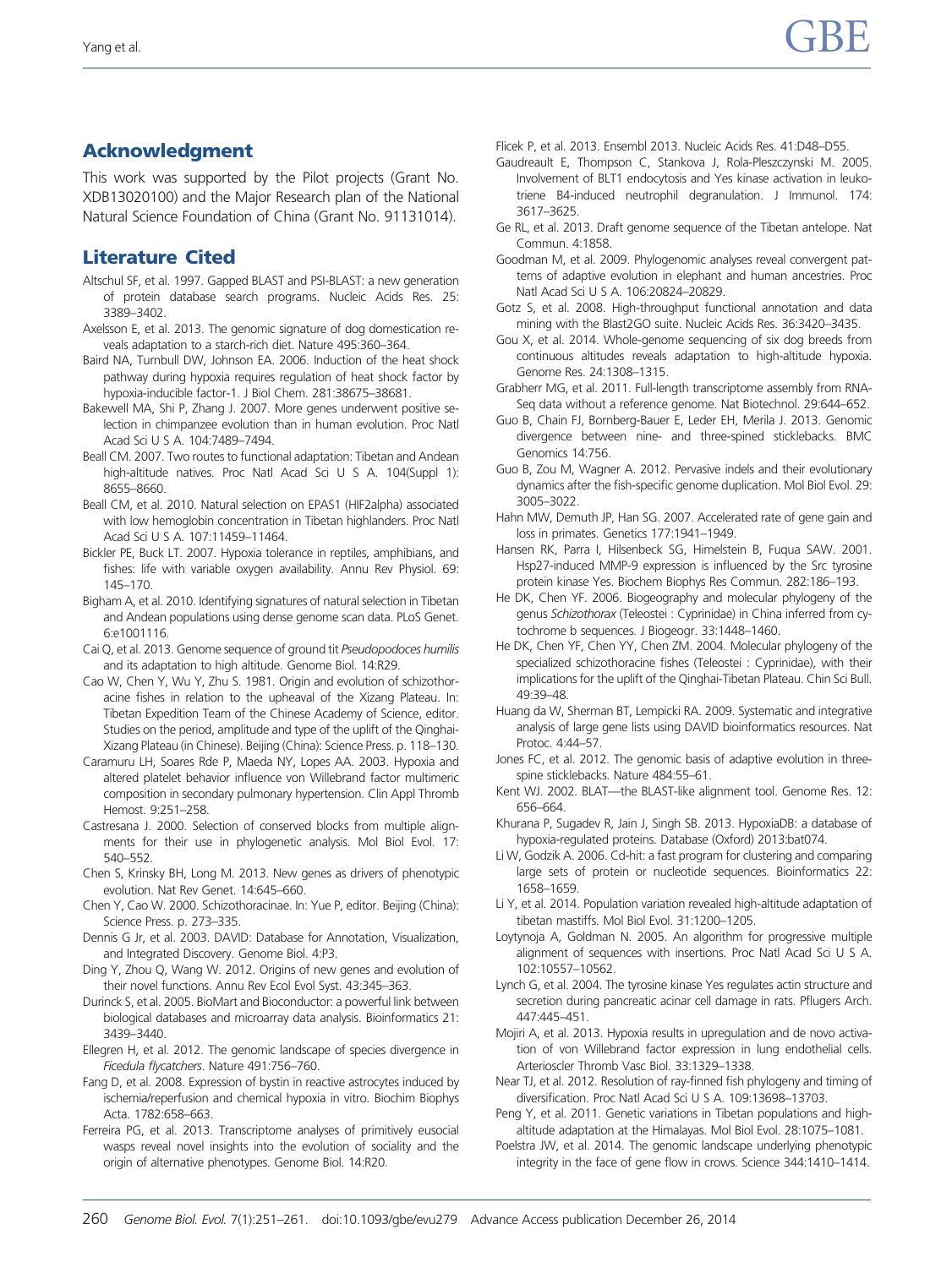# <span id="page-9-0"></span>Acknowledgment

This work was supported by the Pilot projects (Grant No. XDB13020100) and the Major Research plan of the National Natural Science Foundation of China (Grant No. 91131014).

# Literature Cited

- Altschul SF, et al. 1997. Gapped BLAST and PSI-BLAST: a new generation of protein database search programs. Nucleic Acids Res. 25: 3389–3402.
- Axelsson E, et al. 2013. The genomic signature of dog domestication reveals adaptation to a starch-rich diet. Nature 495:360–364.
- Baird NA, Turnbull DW, Johnson EA. 2006. Induction of the heat shock pathway during hypoxia requires regulation of heat shock factor by hypoxia-inducible factor-1. J Biol Chem. 281:38675–38681.
- Bakewell MA, Shi P, Zhang J. 2007. More genes underwent positive selection in chimpanzee evolution than in human evolution. Proc Natl Acad Sci U S A. 104:7489–7494.
- Beall CM. 2007. Two routes to functional adaptation: Tibetan and Andean high-altitude natives. Proc Natl Acad Sci U S A. 104(Suppl 1): 8655–8660.
- Beall CM, et al. 2010. Natural selection on EPAS1 (HIF2alpha) associated with low hemoglobin concentration in Tibetan highlanders. Proc Natl Acad Sci U S A. 107:11459–11464.
- Bickler PE, Buck LT. 2007. Hypoxia tolerance in reptiles, amphibians, and fishes: life with variable oxygen availability. Annu Rev Physiol. 69: 145–170.
- Bigham A, et al. 2010. Identifying signatures of natural selection in Tibetan and Andean populations using dense genome scan data. PLoS Genet. 6:e1001116.
- Cai Q, et al. 2013. Genome sequence of ground tit Pseudopodoces humilis and its adaptation to high altitude. Genome Biol. 14:R29.
- Cao W, Chen Y, Wu Y, Zhu S. 1981. Origin and evolution of schizothoracine fishes in relation to the upheaval of the Xizang Plateau. In: Tibetan Expedition Team of the Chinese Academy of Science, editor. Studies on the period, amplitude and type of the uplift of the Qinghai-Xizang Plateau (in Chinese). Beijing (China): Science Press. p. 118–130.
- Caramuru LH, Soares Rde P, Maeda NY, Lopes AA. 2003. Hypoxia and altered platelet behavior influence von Willebrand factor multimeric composition in secondary pulmonary hypertension. Clin Appl Thromb Hemost. 9:251–258.
- Castresana J. 2000. Selection of conserved blocks from multiple alignments for their use in phylogenetic analysis. Mol Biol Evol. 17: 540–552.
- Chen S, Krinsky BH, Long M. 2013. New genes as drivers of phenotypic evolution. Nat Rev Genet. 14:645–660.
- Chen Y, Cao W. 2000. Schizothoracinae. In: Yue P, editor. Beijing (China): Science Press. p. 273–335.
- Dennis G Jr, et al. 2003. DAVID: Database for Annotation, Visualization, and Integrated Discovery. Genome Biol. 4:P3.
- Ding Y, Zhou Q, Wang W. 2012. Origins of new genes and evolution of their novel functions. Annu Rev Ecol Evol Syst. 43:345–363.
- Durinck S, et al. 2005. BioMart and Bioconductor: a powerful link between biological databases and microarray data analysis. Bioinformatics 21: 3439–3440.
- Ellegren H, et al. 2012. The genomic landscape of species divergence in Ficedula flycatchers. Nature 491:756–760.
- Fang D, et al. 2008. Expression of bystin in reactive astrocytes induced by ischemia/reperfusion and chemical hypoxia in vitro. Biochim Biophys Acta. 1782:658–663.
- Ferreira PG, et al. 2013. Transcriptome analyses of primitively eusocial wasps reveal novel insights into the evolution of sociality and the origin of alternative phenotypes. Genome Biol. 14:R20.
- Flicek P, et al. 2013. Ensembl 2013. Nucleic Acids Res. 41:D48–D55.
- Gaudreault E, Thompson C, Stankova J, Rola-Pleszczynski M. 2005. Involvement of BLT1 endocytosis and Yes kinase activation in leukotriene B4-induced neutrophil degranulation. J Immunol. 174: 3617–3625.
- Ge RL, et al. 2013. Draft genome sequence of the Tibetan antelope. Nat Commun. 4:1858.
- Goodman M, et al. 2009. Phylogenomic analyses reveal convergent patterns of adaptive evolution in elephant and human ancestries. Proc Natl Acad Sci U S A. 106:20824–20829.
- Gotz S, et al. 2008. High-throughput functional annotation and data mining with the Blast2GO suite. Nucleic Acids Res. 36:3420–3435.
- Gou X, et al. 2014. Whole-genome sequencing of six dog breeds from continuous altitudes reveals adaptation to high-altitude hypoxia. Genome Res. 24:1308–1315.
- Grabherr MG, et al. 2011. Full-length transcriptome assembly from RNA-Seq data without a reference genome. Nat Biotechnol. 29:644–652.
- Guo B, Chain FJ, Bornberg-Bauer E, Leder EH, Merila J. 2013. Genomic divergence between nine- and three-spined sticklebacks. BMC Genomics 14:756.
- Guo B, Zou M, Wagner A. 2012. Pervasive indels and their evolutionary dynamics after the fish-specific genome duplication. Mol Biol Evol. 29: 3005–3022.
- Hahn MW, Demuth JP, Han SG. 2007. Accelerated rate of gene gain and loss in primates. Genetics 177:1941–1949.
- Hansen RK, Parra I, Hilsenbeck SG, Himelstein B, Fuqua SAW. 2001. Hsp27-induced MMP-9 expression is influenced by the Src tyrosine protein kinase Yes. Biochem Biophys Res Commun. 282:186–193.
- He DK, Chen YF. 2006. Biogeography and molecular phylogeny of the genus Schizothorax (Teleostei : Cyprinidae) in China inferred from cytochrome b sequences. J Biogeogr. 33:1448–1460.
- He DK, Chen YF, Chen YY, Chen ZM. 2004. Molecular phylogeny of the specialized schizothoracine fishes (Teleostei : Cyprinidae), with their implications for the uplift of the Qinghai-Tibetan Plateau. Chin Sci Bull. 49:39–48.
- Huang da W, Sherman BT, Lempicki RA. 2009. Systematic and integrative analysis of large gene lists using DAVID bioinformatics resources. Nat Protoc. 4:44–57.
- Jones FC, et al. 2012. The genomic basis of adaptive evolution in threespine sticklebacks. Nature 484:55–61.
- Kent WJ. 2002. BLAT—the BLAST-like alignment tool. Genome Res. 12: 656–664.
- Khurana P, Sugadev R, Jain J, Singh SB. 2013. HypoxiaDB: a database of hypoxia-regulated proteins. Database (Oxford) 2013:bat074.
- Li W, Godzik A. 2006. Cd-hit: a fast program for clustering and comparing large sets of protein or nucleotide sequences. Bioinformatics 22: 1658–1659.
- Li Y, et al. 2014. Population variation revealed high-altitude adaptation of tibetan mastiffs. Mol Biol Evol. 31:1200–1205.
- Loytynoja A, Goldman N. 2005. An algorithm for progressive multiple alignment of sequences with insertions. Proc Natl Acad Sci U S A. 102:10557–10562.
- Lynch G, et al. 2004. The tyrosine kinase Yes regulates actin structure and secretion during pancreatic acinar cell damage in rats. Pflugers Arch. 447:445–451.
- Mojiri A, et al. 2013. Hypoxia results in upregulation and de novo activation of von Willebrand factor expression in lung endothelial cells. Arterioscler Thromb Vasc Biol. 33:1329–1338.
- Near TJ, et al. 2012. Resolution of ray-finned fish phylogeny and timing of diversification. Proc Natl Acad Sci U S A. 109:13698–13703.
- Peng Y, et al. 2011. Genetic variations in Tibetan populations and highaltitude adaptation at the Himalayas. Mol Biol Evol. 28:1075–1081.
- Poelstra JW, et al. 2014. The genomic landscape underlying phenotypic integrity in the face of gene flow in crows. Science 344:1410–1414.